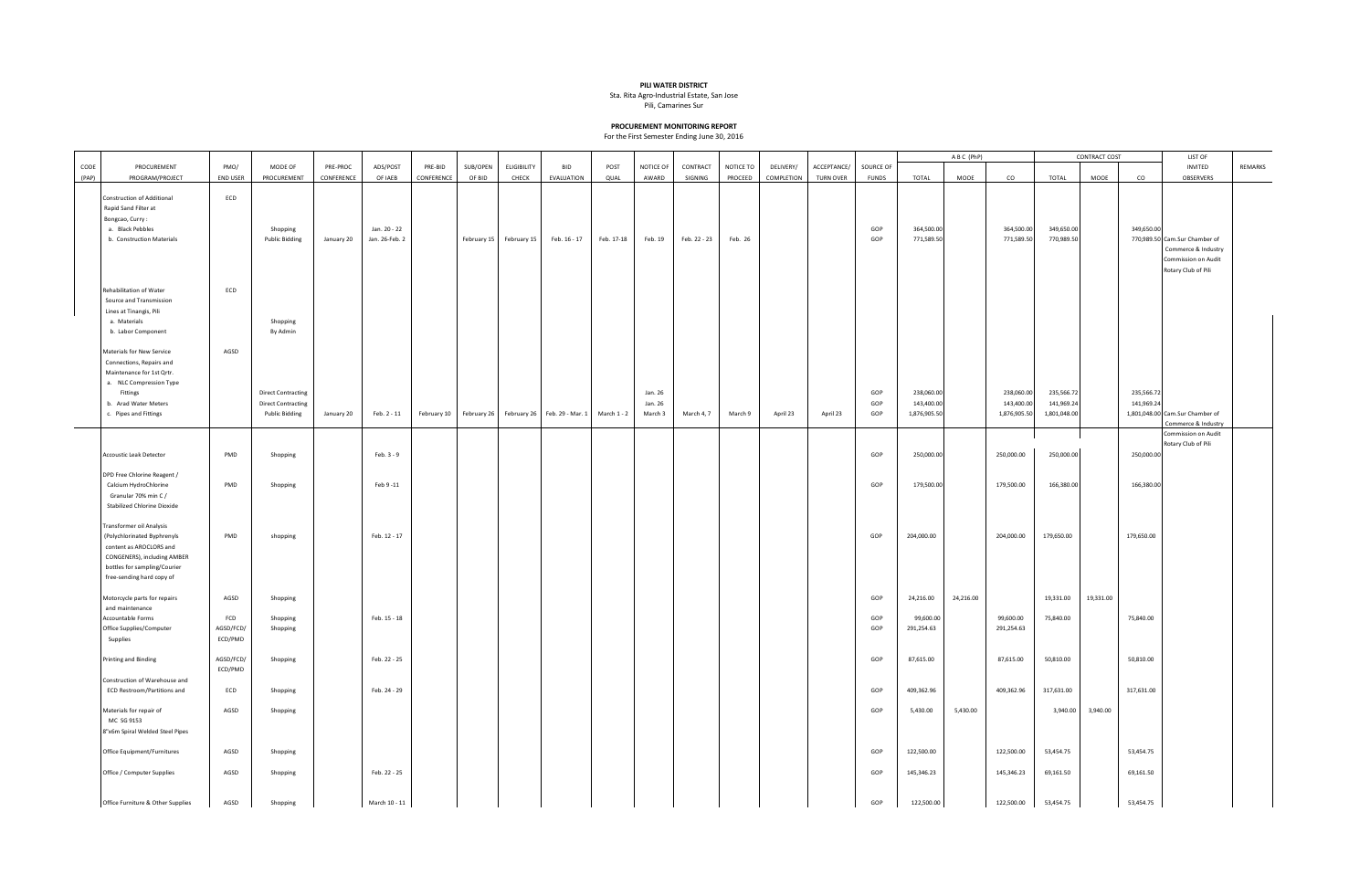## **PILI WATER DISTRICT**

Sta. Rita Agro-Industrial Estate, San Jose

Pili, Camarines Sur

## **PROCUREMENT MONITORING REPORT**

For the First Semester Ending June 30, 2016

|       |                                                                                                                                                                                |                             |                                                                                 |            |                |             |             |                    |                  |             |                               |              |           |            |                  |                   | ABC (PhP)                                |           |                                          | <b>CONTRACT COST</b>                     |           | LIST OF                  |                                                                                                    |         |
|-------|--------------------------------------------------------------------------------------------------------------------------------------------------------------------------------|-----------------------------|---------------------------------------------------------------------------------|------------|----------------|-------------|-------------|--------------------|------------------|-------------|-------------------------------|--------------|-----------|------------|------------------|-------------------|------------------------------------------|-----------|------------------------------------------|------------------------------------------|-----------|--------------------------|----------------------------------------------------------------------------------------------------|---------|
| CODE  | PROCUREMENT                                                                                                                                                                    | PMO/                        | MODE OF                                                                         | PRE-PROC   | ADS/POST       | PRE-BID     | SUB/OPEN    | <b>ELIGIBILITY</b> | <b>BID</b>       | POST        | NOTICE OF                     | CONTRACT     | NOTICE TO | DELIVERY/  | ACCEPTANCE/      | SOURCE OF         |                                          |           |                                          |                                          |           |                          | INVITED                                                                                            | REMARKS |
| (PAP) | PROGRAM/PROJECT                                                                                                                                                                | <b>END USER</b>             | PROCUREMENT                                                                     | CONFERENCE | OF IAEB        | CONFERENCE  | OF BID      | CHECK              | EVALUATION       | QUAL        | AWARD                         | SIGNING      | PROCEED   | COMPLETION | <b>TURN OVER</b> | <b>FUNDS</b>      | TOTAL                                    | MOOE      | co                                       | TOTAL                                    | MOOE      | co                       | OBSERVERS                                                                                          |         |
|       | Construction of Additional<br>Rapid Sand Filter at<br>Bongcao, Curry:<br>a. Black Pebbles                                                                                      | ECD                         | Shopping                                                                        |            | Jan. 20 - 22   |             |             |                    |                  |             |                               |              |           |            |                  | GOP               | 364,500.00                               |           | 364,500.00                               | 349,650.00                               |           | 349,650.00               |                                                                                                    |         |
|       | b. Construction Materials                                                                                                                                                      |                             | <b>Public Bidding</b>                                                           | January 20 | Jan. 26-Feb. 2 |             | February 15 | February 15        | Feb. 16 - 17     | Feb. 17-18  | Feb. 19                       | Feb. 22 - 23 | Feb. 26   |            |                  | GOP               | 771,589.5                                |           | 771,589.50                               | 770,989.50                               |           |                          | 770,989.50 Cam.Sur Chamber of<br>Commerce & Industry<br>Commission on Audit<br>Rotary Club of Pili |         |
|       | Rehabilitation of Water<br>Source and Transmission<br>Lines at Tinangis, Pili<br>a. Materials<br>b. Labor Component                                                            | ECD                         | Shopping<br>By Admin                                                            |            |                |             |             |                    |                  |             |                               |              |           |            |                  |                   |                                          |           |                                          |                                          |           |                          |                                                                                                    |         |
|       | Materials for New Service<br>Connections, Repairs and<br>Maintenance for 1st Qrtr.<br>a. NLC Compression Type                                                                  | AGSD                        |                                                                                 |            |                |             |             |                    |                  |             |                               |              |           |            |                  |                   |                                          |           |                                          |                                          |           |                          |                                                                                                    |         |
|       | Fittings<br>b. Arad Water Meters<br>c. Pipes and Fittings                                                                                                                      |                             | <b>Direct Contracting</b><br><b>Direct Contracting</b><br><b>Public Bidding</b> | January 20 | Feb. 2 - 11    | February 10 | February 26 | February 26        | Feb. 29 - Mar. 1 | March 1 - 2 | Jan. 26<br>Jan. 26<br>March 3 | March 4, 7   | March 9   | April 23   | April 23         | GOP<br>GOP<br>GOP | 238,060.00<br>143,400.00<br>1,876,905.50 |           | 238,060.00<br>143,400.00<br>1,876,905.50 | 235,566.72<br>141,969.24<br>1,801,048.00 |           | 235,566.72<br>141,969.24 | 1,801,048.00 Cam.Sur Chamber of<br>Commerce & Industry                                             |         |
|       | Accoustic Leak Detector                                                                                                                                                        | PMD                         | Shopping                                                                        |            | Feb. 3 - 9     |             |             |                    |                  |             |                               |              |           |            |                  | GOP               | 250,000.00                               |           | 250,000.00                               | 250,000.00                               |           | 250,000.00               | Commission on Audit<br>Rotary Club of Pili                                                         |         |
|       | DPD Free Chlorine Reagent /<br>Calcium HydroChlorine<br>Granular 70% min C /<br><b>Stabilized Chlorine Dioxide</b>                                                             | PMD                         | Shopping                                                                        |            | Feb 9 -11      |             |             |                    |                  |             |                               |              |           |            |                  | GOP               | 179,500.00                               |           | 179,500.00                               | 166,380.00                               |           | 166,380.00               |                                                                                                    |         |
|       | Transformer oil Analysis<br>(Polychlorinated Byphrenyls<br>content as AROCLORS and<br>CONGENERS), including AMBER<br>bottles for sampling/Courier<br>free-sending hard copy of | PMD                         | shopping                                                                        |            | Feb. 12 - 17   |             |             |                    |                  |             |                               |              |           |            |                  | GOP               | 204,000.00                               |           | 204,000.00                               | 179,650.00                               |           | 179,650.00               |                                                                                                    |         |
|       | Motorcycle parts for repairs<br>and maintenance                                                                                                                                | AGSD                        | Shopping                                                                        |            |                |             |             |                    |                  |             |                               |              |           |            |                  | GOP               | 24,216.00                                | 24,216.00 |                                          | 19,331.00                                | 19,331.00 |                          |                                                                                                    |         |
|       | Accountable Forms<br>Office Supplies/Computer<br>Supplies                                                                                                                      | FCD<br>AGSD/FCD/<br>ECD/PMD | Shopping<br>Shopping                                                            |            | Feb. 15 - 18   |             |             |                    |                  |             |                               |              |           |            |                  | GOP<br>GOP        | 99,600.00<br>291,254.63                  |           | 99,600.00<br>291,254.63                  | 75,840.00                                |           | 75,840.00                |                                                                                                    |         |
|       | Printing and Binding                                                                                                                                                           | AGSD/FCD/<br>ECD/PMD        | Shopping                                                                        |            | Feb. 22 - 25   |             |             |                    |                  |             |                               |              |           |            |                  | GOP               | 87,615.00                                |           | 87,615.00                                | 50,810.00                                |           | 50,810.00                |                                                                                                    |         |
|       | Construction of Warehouse and<br>ECD Restroom/Partitions and                                                                                                                   | ECD                         | Shopping                                                                        |            | Feb. 24 - 29   |             |             |                    |                  |             |                               |              |           |            |                  | GOP               | 409,362.96                               |           | 409,362.96                               | 317,631.00                               |           | 317,631.00               |                                                                                                    |         |
|       | Materials for repair of<br>MC SG 9153<br>8"x6m Spiral Welded Steel Pipes                                                                                                       | AGSD                        | Shopping                                                                        |            |                |             |             |                    |                  |             |                               |              |           |            |                  | GOP               | 5,430.00                                 | 5,430.00  |                                          | 3,940.00                                 | 3,940.00  |                          |                                                                                                    |         |
|       | Office Equipment/Furnitures<br>Office / Computer Supplies                                                                                                                      | AGSD<br>AGSD                | Shopping                                                                        |            | Feb. 22 - 25   |             |             |                    |                  |             |                               |              |           |            |                  | GOP<br>GOP        | 122,500.00<br>145,346.23                 |           | 122,500.00<br>145,346.23                 | 53,454.75<br>69,161.50                   |           | 53,454.75<br>69,161.50   |                                                                                                    |         |
|       | Office Furniture & Other Supplies                                                                                                                                              | AGSD                        | Shopping<br>Shopping                                                            |            | March 10 - 11  |             |             |                    |                  |             |                               |              |           |            |                  | GOP               | 122,500.00                               |           | 122,500.00                               | 53,454.75                                |           | 53,454.75                |                                                                                                    |         |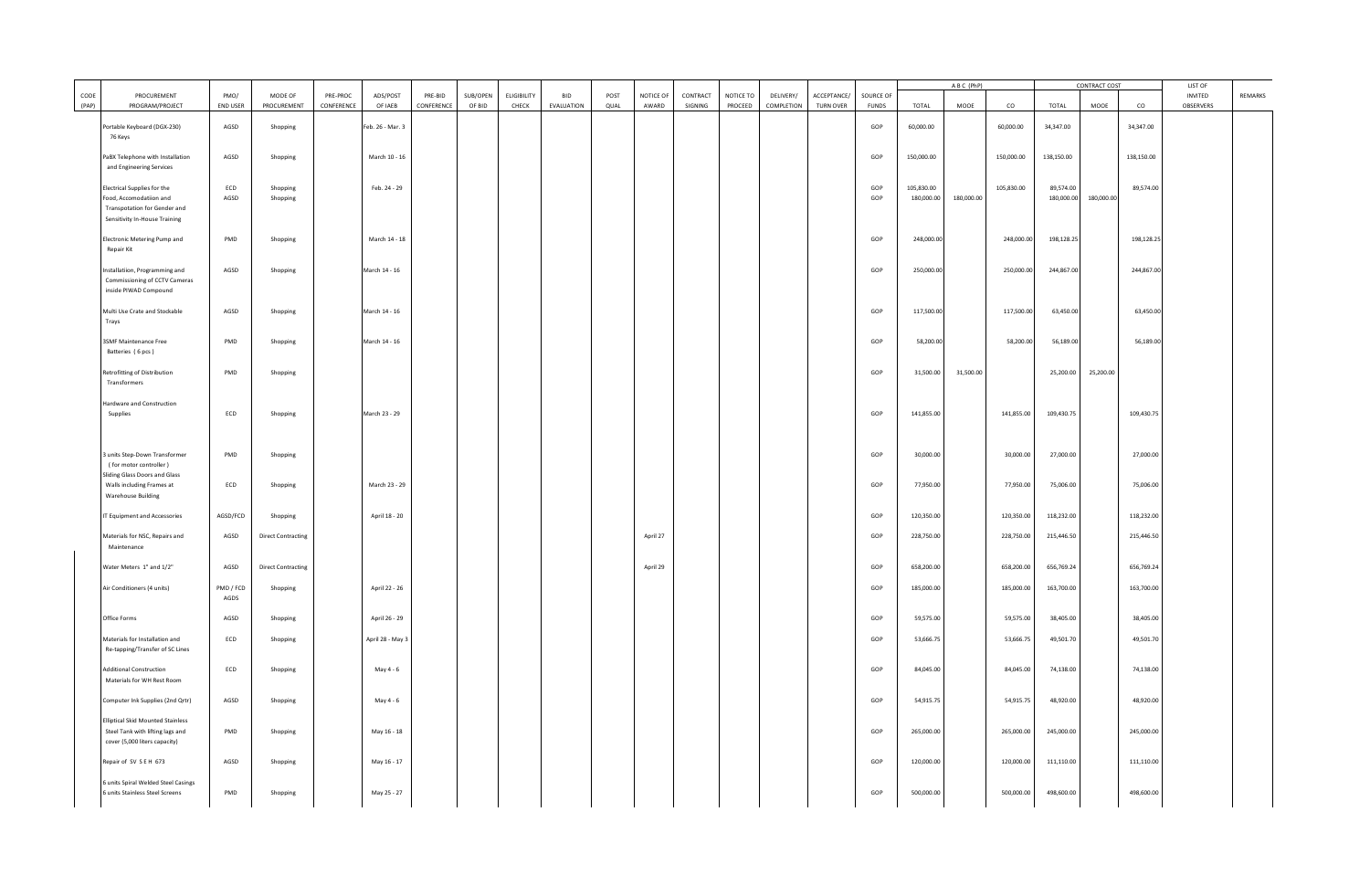|               |                                                                                                                         |                             |                                       |                        |                     |                       |                    |                             |                          |              |                    |                     |                             |                         |                                 |                           | ABC (PhP)                |            | CONTRACT COST            |                          |            | LIST OF                  |                      |         |
|---------------|-------------------------------------------------------------------------------------------------------------------------|-----------------------------|---------------------------------------|------------------------|---------------------|-----------------------|--------------------|-----------------------------|--------------------------|--------------|--------------------|---------------------|-----------------------------|-------------------------|---------------------------------|---------------------------|--------------------------|------------|--------------------------|--------------------------|------------|--------------------------|----------------------|---------|
| CODE<br>(PAP) | PROCUREMENT<br>PROGRAM/PROJECT                                                                                          | PMO/<br><b>END USER</b>     | MODE OF<br>PROCUREMENT                | PRE-PROC<br>CONFERENCE | ADS/POST<br>OF IAEB | PRF-BID<br>CONFERENCE | SUB/OPEN<br>OF BID | <b>FLIGIBILITY</b><br>CHECK | <b>BID</b><br>EVALUATION | POST<br>QUAL | NOTICE OF<br>AWARD | CONTRACT<br>SIGNING | NOTICE TO<br><b>PROCEED</b> | DELIVERY/<br>COMPLETION | ACCEPTANCE/<br><b>TURN OVER</b> | SOURCE OF<br><b>FUNDS</b> | TOTAL                    | MOOE       | CO.                      | TOTAL                    | MOOE       | co                       | INVITED<br>OBSERVERS | REMARKS |
|               | ortable Keyboard (DGX-230)<br>76 Keys                                                                                   | AGSD                        | Shopping                              |                        | Feb. 26 - Mar. 3    |                       |                    |                             |                          |              |                    |                     |                             |                         |                                 | GOP                       | 60,000.00                |            | 60,000.00                | 34,347.00                |            | 34,347.00                |                      |         |
|               | PaBX Telephone with Installation<br>and Engineering Services                                                            | AGSD                        | Shopping                              |                        | March 10 - 16       |                       |                    |                             |                          |              |                    |                     |                             |                         |                                 | GOP                       | 150,000.00               |            | 150,000.00               | 138,150.00               |            | 138,150.00               |                      |         |
|               | Electrical Supplies for the<br>Food, Accomodatiion and<br>Transpotation for Gender and<br>Sensitivity In-House Training | ECD<br>AGSD                 | Shopping<br>Shopping                  |                        | Feb. 24 - 29        |                       |                    |                             |                          |              |                    |                     |                             |                         |                                 | GOP<br>GOP                | 105,830.00<br>180,000.00 | 180,000.00 | 105,830.00               | 89,574.00<br>180,000.00  | 180,000.00 | 89,574.00                |                      |         |
|               | lectronic Metering Pump and<br>Repair Kit                                                                               | PMD                         | Shopping                              |                        | March 14 - 18       |                       |                    |                             |                          |              |                    |                     |                             |                         |                                 | GOP                       | 248,000.00               |            | 248,000.00               | 198,128.25               |            | 198,128.25               |                      |         |
|               | Installatiion, Programming and<br>Commissioning of CCTV Cameras<br>inside PIWAD Compound                                | AGSD                        | Shopping                              |                        | March 14 - 16       |                       |                    |                             |                          |              |                    |                     |                             |                         |                                 | GOP                       | 250,000.00               |            | 250,000.00               | 244,867.00               |            | 244,867.00               |                      |         |
|               | Multi Use Crate and Stockable<br>Trays                                                                                  | AGSD                        | Shopping                              |                        | March 14 - 16       |                       |                    |                             |                          |              |                    |                     |                             |                         |                                 | GOP                       | 117,500.00               |            | 117,500.00               | 63,450.00                |            | 63,450.00                |                      |         |
|               | 3SMF Maintenance Free<br>Batteries (6 pcs)                                                                              | PMD                         | Shopping                              |                        | March 14 - 16       |                       |                    |                             |                          |              |                    |                     |                             |                         |                                 | GOP                       | 58,200.00                |            | 58,200.00                | 56,189.00                |            | 56,189.00                |                      |         |
|               | Retrofitting of Distribution<br>Transformers                                                                            | PMD                         | Shopping                              |                        |                     |                       |                    |                             |                          |              |                    |                     |                             |                         |                                 | GOP                       | 31,500.00                | 31,500.00  |                          | 25,200.00                | 25,200.00  |                          |                      |         |
|               | Hardware and Construction<br>Supplies                                                                                   | ECD                         | Shopping                              |                        | March 23 - 29       |                       |                    |                             |                          |              |                    |                     |                             |                         |                                 | GOP                       | 141,855.00               |            | 141,855.00               | 109,430.75               |            | 109,430.75               |                      |         |
|               | units Step-Down Transformer<br>(for motor controller)<br>Sliding Glass Doors and Glass                                  | PMD                         | Shopping                              |                        |                     |                       |                    |                             |                          |              |                    |                     |                             |                         |                                 | GOP                       | 30,000.00                |            | 30,000.00                | 27,000.00                |            | 27,000.00                |                      |         |
|               | Walls including Frames at<br><b>Warehouse Building</b>                                                                  | ECD                         | Shopping                              |                        | March 23 - 29       |                       |                    |                             |                          |              |                    |                     |                             |                         |                                 | GOP                       | 77,950.00                |            | 77,950.00                | 75,006.00                |            | 75,006.00                |                      |         |
|               | IT Equipment and Accessories                                                                                            | AGSD/FCD                    | Shopping                              |                        | April 18 - 20       |                       |                    |                             |                          |              |                    |                     |                             |                         |                                 | GOP                       | 120,350.00               |            | 120,350.00               | 118,232.00               |            | 118,232.00               |                      |         |
|               | Materials for NSC, Repairs and<br>Maintenance                                                                           | AGSD                        | <b>Direct Contracting</b>             |                        |                     |                       |                    |                             |                          |              | April 27           |                     |                             |                         |                                 | GOP                       | 228,750.00               |            | 228,750.00               | 215,446.50               |            | 215,446.50               |                      |         |
|               | Water Meters 1" and 1/2"<br>Air Conditioners (4 units)                                                                  | AGSD<br>PMD / FCD           | <b>Direct Contracting</b><br>Shopping |                        | April 22 - 26       |                       |                    |                             |                          |              | April 29           |                     |                             |                         |                                 | GOP<br>GOP                | 658,200.00<br>185,000.00 |            | 658,200.00<br>185,000.00 | 656,769.24<br>163,700.00 |            | 656,769.24<br>163,700.00 |                      |         |
|               | Office Forms                                                                                                            | AGDS<br>AGSD                | Shopping                              |                        | April 26 - 29       |                       |                    |                             |                          |              |                    |                     |                             |                         |                                 | GOP                       | 59,575.00                |            | 59,575.00                | 38,405.00                |            | 38,405.00                |                      |         |
|               | Materials for Installation and<br>Re-tapping/Transfer of SC Lines                                                       | ECD                         | Shopping                              |                        | April 28 - May 3    |                       |                    |                             |                          |              |                    |                     |                             |                         |                                 | GOP                       | 53,666.75                |            | 53,666.75                | 49,501.70                |            | 49,501.70                |                      |         |
|               | <b>Additional Construction</b><br>Materials for WH Rest Room                                                            | $\ensuremath{\mathsf{ECD}}$ | Shopping                              |                        | May 4 - 6           |                       |                    |                             |                          |              |                    |                     |                             |                         |                                 | GOP                       | 84,045.00                |            | 84,045.00                | 74,138.00                |            | 74,138.00                |                      |         |
|               | Computer Ink Supplies (2nd Qrtr)                                                                                        | AGSD                        | Shopping                              |                        | May 4 - 6           |                       |                    |                             |                          |              |                    |                     |                             |                         |                                 | GOP                       | 54,915.75                |            | 54,915.75                | 48,920.00                |            | 48,920.00                |                      |         |
|               | <b>Elliptical Skid Mounted Stainless</b><br>Steel Tank with lifting lags and<br>cover (5,000 liters capacity)           | PMD                         | Shopping                              |                        | May 16 - 18         |                       |                    |                             |                          |              |                    |                     |                             |                         |                                 | GOP                       | 265,000.00               |            | 265,000.00               | 245,000.00               |            | 245,000.00               |                      |         |
|               | Repair of SV SEH 673                                                                                                    | AGSD                        | Shopping                              |                        | May 16 - 17         |                       |                    |                             |                          |              |                    |                     |                             |                         |                                 | GOP                       | 120,000.00               |            | 120,000.00               | 111,110.00               |            | 111,110.00               |                      |         |
|               | 6 units Spiral Welded Steel Casings<br>6 units Stainless Steel Screens                                                  | PMD                         | Shopping                              |                        | May 25 - 27         |                       |                    |                             |                          |              |                    |                     |                             |                         |                                 | GOP                       | 500,000.00               |            | 500,000.00               | 498,600.00               |            | 498,600.00               |                      |         |